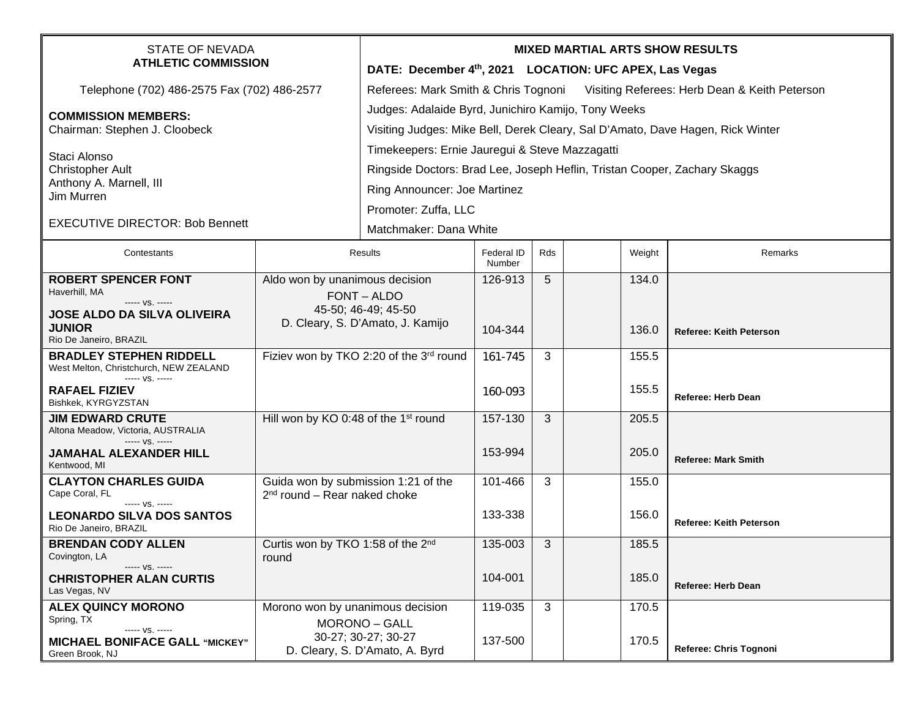| <b>STATE OF NEVADA</b><br><b>ATHLETIC COMMISSION</b>                          |                                                                       | <b>MIXED MARTIAL ARTS SHOW RESULTS</b>                                             |                      |     |  |        |                                |  |
|-------------------------------------------------------------------------------|-----------------------------------------------------------------------|------------------------------------------------------------------------------------|----------------------|-----|--|--------|--------------------------------|--|
|                                                                               |                                                                       | DATE: December 4th, 2021 LOCATION: UFC APEX, Las Vegas                             |                      |     |  |        |                                |  |
| Telephone (702) 486-2575 Fax (702) 486-2577                                   |                                                                       | Referees: Mark Smith & Chris Tognoni Visiting Referees: Herb Dean & Keith Peterson |                      |     |  |        |                                |  |
| <b>COMMISSION MEMBERS:</b>                                                    |                                                                       | Judges: Adalaide Byrd, Junichiro Kamijo, Tony Weeks                                |                      |     |  |        |                                |  |
| Chairman: Stephen J. Cloobeck                                                 |                                                                       | Visiting Judges: Mike Bell, Derek Cleary, Sal D'Amato, Dave Hagen, Rick Winter     |                      |     |  |        |                                |  |
| Staci Alonso<br><b>Christopher Ault</b>                                       |                                                                       | Timekeepers: Ernie Jauregui & Steve Mazzagatti                                     |                      |     |  |        |                                |  |
|                                                                               |                                                                       | Ringside Doctors: Brad Lee, Joseph Heflin, Tristan Cooper, Zachary Skaggs          |                      |     |  |        |                                |  |
| Anthony A. Marnell, III<br>Jim Murren                                         |                                                                       | Ring Announcer: Joe Martinez                                                       |                      |     |  |        |                                |  |
|                                                                               |                                                                       | Promoter: Zuffa, LLC                                                               |                      |     |  |        |                                |  |
| <b>EXECUTIVE DIRECTOR: Bob Bennett</b>                                        |                                                                       | Matchmaker: Dana White                                                             |                      |     |  |        |                                |  |
| Contestants                                                                   | Results                                                               |                                                                                    | Federal ID<br>Number | Rds |  | Weight | Remarks                        |  |
| <b>ROBERT SPENCER FONT</b>                                                    | Aldo won by unanimous decision<br>FONT - ALDO<br>45-50; 46-49; 45-50  |                                                                                    | 126-913              | 5   |  | 134.0  |                                |  |
| Haverhill, MA<br>----- VS. -----                                              |                                                                       |                                                                                    |                      |     |  |        |                                |  |
| <b>JOSE ALDO DA SILVA OLIVEIRA</b><br><b>JUNIOR</b>                           |                                                                       | D. Cleary, S. D'Amato, J. Kamijo                                                   | 104-344              |     |  | 136.0  |                                |  |
| Rio De Janeiro, BRAZIL                                                        |                                                                       |                                                                                    |                      |     |  |        | <b>Referee: Keith Peterson</b> |  |
| <b>BRADLEY STEPHEN RIDDELL</b><br>West Melton, Christchurch, NEW ZEALAND      | Fiziev won by TKO 2:20 of the 3rd round                               |                                                                                    | 161-745              | 3   |  | 155.5  |                                |  |
| ----- VS. -----<br><b>RAFAEL FIZIEV</b>                                       |                                                                       |                                                                                    |                      |     |  | 155.5  |                                |  |
| Bishkek, KYRGYZSTAN                                                           |                                                                       |                                                                                    | 160-093              |     |  |        | <b>Referee: Herb Dean</b>      |  |
| <b>JIM EDWARD CRUTE</b><br>Altona Meadow, Victoria, AUSTRALIA                 | Hill won by KO 0:48 of the 1 <sup>st</sup> round                      |                                                                                    | 157-130              | 3   |  | 205.5  |                                |  |
| ----- VS. -----<br><b>JAMAHAL ALEXANDER HILL</b><br>Kentwood, MI              |                                                                       |                                                                                    | 153-994              |     |  | 205.0  | <b>Referee: Mark Smith</b>     |  |
| <b>CLAYTON CHARLES GUIDA</b><br>Cape Coral, FL                                | Guida won by submission 1:21 of the<br>$2nd$ round – Rear naked choke |                                                                                    | 101-466              | 3   |  | 155.0  |                                |  |
| ----- VS. -----<br><b>LEONARDO SILVA DOS SANTOS</b><br>Rio De Janeiro, BRAZIL |                                                                       |                                                                                    | 133-338              |     |  | 156.0  | <b>Referee: Keith Peterson</b> |  |
| <b>BRENDAN CODY ALLEN</b><br>Covington, LA                                    | Curtis won by TKO 1:58 of the 2 <sup>nd</sup><br>round                |                                                                                    | 135-003              | 3   |  | 185.5  |                                |  |
| ----- VS. -----<br><b>CHRISTOPHER ALAN CURTIS</b><br>Las Vegas, NV            |                                                                       |                                                                                    | 104-001              |     |  | 185.0  | Referee: Herb Dean             |  |
| <b>ALEX QUINCY MORONO</b>                                                     | Morono won by unanimous decision                                      |                                                                                    | 119-035              | 3   |  | 170.5  |                                |  |
| Spring, TX<br>----- VS. -----<br><b>MICHAEL BONIFACE GALL "MICKEY"</b>        |                                                                       | <b>MORONO - GALL</b><br>30-27; 30-27; 30-27                                        | 137-500              |     |  | 170.5  |                                |  |
| Green Brook, NJ                                                               |                                                                       | D. Cleary, S. D'Amato, A. Byrd                                                     |                      |     |  |        | Referee: Chris Tognoni         |  |